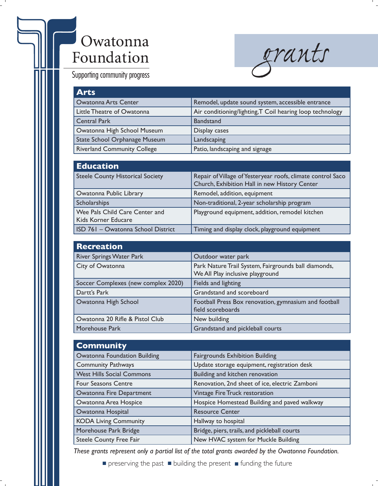## Owatonna Foundation

*grants*

Supporting community progress

| <b>Arts</b>                        |                                                           |
|------------------------------------|-----------------------------------------------------------|
| <b>Owatonna Arts Center</b>        | Remodel, update sound system, accessible entrance         |
| Little Theatre of Owatonna         | Air conditioning/lighting, T Coil hearing loop technology |
| <b>Central Park</b>                | <b>Bandstand</b>                                          |
| Owatonna High School Museum        | Display cases                                             |
| State School Orphanage Museum      | Landscaping                                               |
| <b>Riverland Community College</b> | Patio, landscaping and signage                            |

| <b>Education</b>                                      |                                                                                                              |
|-------------------------------------------------------|--------------------------------------------------------------------------------------------------------------|
| <b>Steele County Historical Society</b>               | Repair of Village of Yesteryear roofs, climate control Saco<br>Church, Exhibition Hall in new History Center |
| Owatonna Public Library                               | Remodel, addition, equipment                                                                                 |
| Scholarships                                          | Non-traditional, 2-year scholarship program                                                                  |
| Wee Pals Child Care Center and<br>Kids Korner Educare | Playground equipment, addition, remodel kitchen                                                              |
| ISD 761 - Owatonna School District                    | Timing and display clock, playground equipment                                                               |

| <b>Recreation</b>                   |                                                                                          |
|-------------------------------------|------------------------------------------------------------------------------------------|
| <b>River Springs Water Park</b>     | Outdoor water park                                                                       |
| City of Owatonna                    | Park Nature Trail System, Fairgrounds ball diamonds,<br>We All Play inclusive playground |
| Soccer Complexes (new complex 2020) | Fields and lighting                                                                      |
| Dartt's Park                        | Grandstand and scoreboard                                                                |
| Owatonna High School                | Football Press Box renovation, gymnasium and football<br>field scoreboards               |
| Owatonna 20 Rifle & Pistol Club     | New building                                                                             |
| Morehouse Park                      | Grandstand and pickleball courts                                                         |

| <b>Community</b>                    |                                                |
|-------------------------------------|------------------------------------------------|
| <b>Owatonna Foundation Building</b> | <b>Fairgrounds Exhibition Building</b>         |
| <b>Community Pathways</b>           | Update storage equipment, registration desk    |
| <b>West Hills Social Commons</b>    | Building and kitchen renovation                |
| Four Seasons Centre                 | Renovation, 2nd sheet of ice, electric Zamboni |
| <b>Owatonna Fire Department</b>     | Vintage Fire Truck restoration                 |
| Owatonna Area Hospice               | Hospice Homestead Building and paved walkway   |
| Owatonna Hospital                   | <b>Resource Center</b>                         |
| <b>KODA Living Community</b>        | Hallway to hospital                            |
| Morehouse Park Bridge               | Bridge, piers, trails, and pickleball courts   |
| Steele County Free Fair             | New HVAC system for Muckle Building            |

*These grants represent only a partial list of the total grants awarded by the Owatonna Foundation.*

 $\blacksquare$  preserving the past  $\blacksquare$  building the present  $\blacksquare$  funding the future